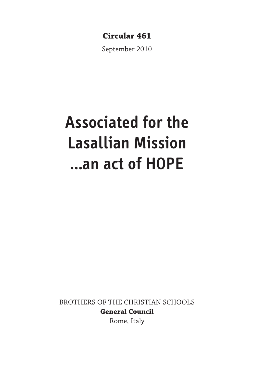## **Circular 461**

September 2010

# **Associated for the Lasallian Mission …an act of HOPE**

BROTHERS OF THE CHRISTIAN SCHOOLS **General Council**

Rome, Italy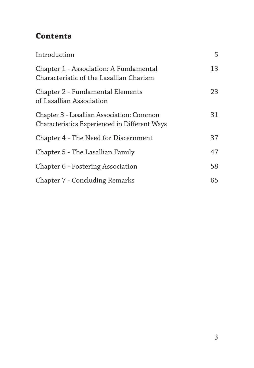# **Contents**

| Introduction                                                                               | 5  |
|--------------------------------------------------------------------------------------------|----|
| Chapter 1 - Association: A Fundamental<br>Characteristic of the Lasallian Charism          | 13 |
| Chapter 2 - Fundamental Elements<br>of Lasallian Association                               | 23 |
| Chapter 3 - Lasallian Association: Common<br>Characteristics Experienced in Different Ways | 31 |
| Chapter 4 - The Need for Discernment                                                       | 37 |
| Chapter 5 - The Lasallian Family                                                           | 47 |
| Chapter 6 - Fostering Association                                                          | 58 |
| Chapter 7 - Concluding Remarks                                                             | 65 |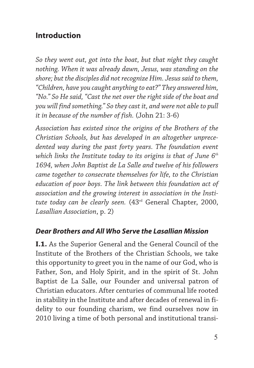## **Introduction**

*So they went out, got into the boat, but that night they caught nothing. When it was already dawn, Jesus, was standing on the shore; but the disciples did not recognize Him. Jesus said to them, "Children, have you caught anything to eat?" They answered him, "No." So He said, "Cast the net over the right side of the boat and you will find something." So they cast it, and were not able to pull it in because of the number of fish.* (John 21: 3-6)

*Association has existed since the origins of the Brothers of the Christian Schools, but has developed in an altogether unprecedented way during the past forty years. The foundation event which links the Institute today to its origins is that of June 6th 1694, when John Baptist de La Salle and twelve of his followers came together to consecrate themselves for life, to the Christian education of poor boys. The link between this foundation act of association and the growing interest in association in the Institute today can be clearly seen.* (43rd General Chapter, 2000, *Lasallian Association*, p. 2)

#### *Dear Brothers and All Who Serve the Lasallian Mission*

**I.1.** As the Superior General and the General Council of the Institute of the Brothers of the Christian Schools, we take this opportunity to greet you in the name of our God, who is Father, Son, and Holy Spirit, and in the spirit of St. John Baptist de La Salle, our Founder and universal patron of Christian educators. After centuries of communal life rooted in stability in the Institute and after decades of renewal in fidelity to our founding charism, we find ourselves now in 2010 living a time of both personal and institutional transi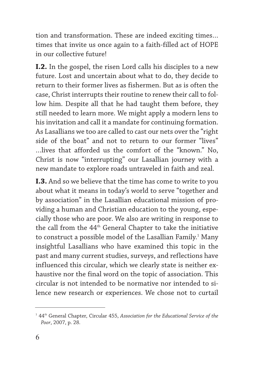tion and transformation. These are indeed exciting times… times that invite us once again to a faith-filled act of HOPE in our collective future!

**I.2.** In the gospel, the risen Lord calls his disciples to a new future. Lost and uncertain about what to do, they decide to return to their former lives as fishermen. But as is often the case, Christ interrupts their routine to renew their call to follow him. Despite all that he had taught them before, they still needed to learn more. We might apply a modern lens to his invitation and call it a mandate for continuing formation. As Lasallians we too are called to cast our nets over the "right side of the boat" and not to return to our former "lives" …lives that afforded us the comfort of the "known." No, Christ is now "interrupting" our Lasallian journey with a new mandate to explore roads untraveled in faith and zeal.

**I.3.** And so we believe that the time has come to write to you about what it means in today's world to serve "together and by association" in the Lasallian educational mission of providing a human and Christian education to the young, especially those who are poor. We also are writing in response to the call from the 44<sup>th</sup> General Chapter to take the initiative to construct a possible model of the Lasallian Family.<sup>1</sup> Many insightful Lasallians who have examined this topic in the past and many current studies, surveys, and reflections have influenced this circular, which we clearly state is neither exhaustive nor the final word on the topic of association. This circular is not intended to be normative nor intended to silence new research or experiences. We chose not to curtail

<sup>&</sup>lt;sup>1</sup> 44<sup>th</sup> General Chapter, Circular 455, Association for the Educational Service of the *Poor*, 2007, p. 28.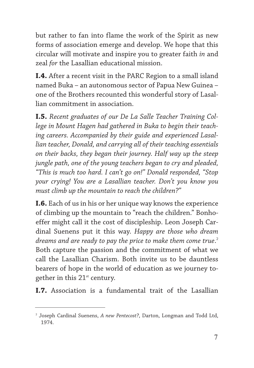but rather to fan into flame the work of the Spirit as new forms of association emerge and develop. We hope that this circular will motivate and inspire you to greater faith *in* and zeal *for* the Lasallian educational mission.

**I.4.** After a recent visit in the PARC Region to a small island named Buka – an autonomous sector of Papua New Guinea – one of the Brothers recounted this wonderful story of Lasallian commitment in association.

**I.5.** *Recent graduates of our De La Salle Teacher Training College in Mount Hagen had gathered in Buka to begin their teaching careers. Accompanied by their guide and experienced Lasallian teacher, Donald, and carrying all of their teaching essentials on their backs, they began their journey. Half way up the steep jungle path, one of the young teachers began to cry and pleaded, "This is much too hard. I can't go on!" Donald responded, "Stop your crying! You are a Lasallian teacher. Don't you know you must climb up the mountain to reach the children?"*

**I.6.** Each of us in his or her unique way knows the experience of climbing up the mountain to "reach the children." Bonhoeffer might call it the cost of discipleship. Leon Joseph Cardinal Suenens put it this way. *Happy are those who dream dreams and are ready to pay the price to make them come true*. 2 Both capture the passion and the commitment of what we call the Lasallian Charism. Both invite us to be dauntless bearers of hope in the world of education as we journey together in this  $21<sup>st</sup>$  century.

**I.7.** Association is a fundamental trait of the Lasallian

<sup>2</sup> Joseph Cardinal Suenens, *A new Pentecost?*, Darton, Longman and Todd Ltd, 1974.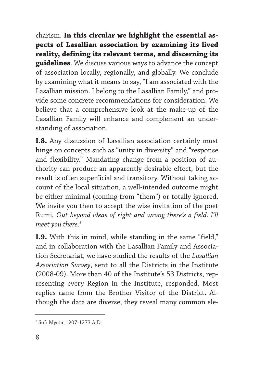charism. **In this circular we highlight the essential aspects of Lasallian association by examining its lived reality, defining its relevant terms, and discerning its guidelines**. We discuss various ways to advance the concept of association locally, regionally, and globally. We conclude by examining what it means to say, "I am associated with the Lasallian mission. I belong to the Lasallian Family," and provide some concrete recommendations for consideration. We believe that a comprehensive look at the make-up of the Lasallian Family will enhance and complement an understanding of association.

**I.8.** Any discussion of Lasallian association certainly must hinge on concepts such as "unity in diversity" and "response and flexibility." Mandating change from a position of authority can produce an apparently desirable effect, but the result is often superficial and transitory. Without taking account of the local situation, a well-intended outcome might be either minimal (coming from "them") or totally ignored. We invite you then to accept the wise invitation of the poet Rumi, *Out beyond ideas of right and wrong there's a field. I'll meet you there*. 3

**I.9.** With this in mind, while standing in the same "field," and in collaboration with the Lasallian Family and Association Secretariat, we have studied the results of the *Lasallian Association Survey*, sent to all the Districts in the Institute (2008-09). More than 40 of the Institute's 53 Districts, representing every Region in the Institute, responded. Most replies came from the Brother Visitor of the District. Although the data are diverse, they reveal many common ele-

<sup>3</sup> Sufi Mystic 1207-1273 A.D.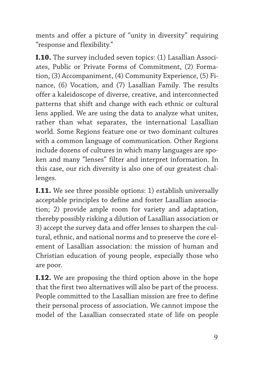ments and offer a picture of "unity in diversity" requiring "response and flexibility."

**I.10.** The survey included seven topics: (1) Lasallian Associates, Public or Private Forms of Commitment, (2) Formation, (3) Accompaniment, (4) Community Experience, (5) Finance, (6) Vocation, and (7) Lasallian Family. The results offer a kaleidoscope of diverse, creative, and interconnected patterns that shift and change with each ethnic or cultural lens applied. We are using the data to analyze what unites, rather than what separates, the international Lasallian world. Some Regions feature one or two dominant cultures with a common language of communication. Other Regions include dozens of cultures in which many languages are spoken and many "lenses" filter and interpret information. In this case, our rich diversity is also one of our greatest challenges.

**I.11.** We see three possible options: 1) establish universally acceptable principles to define and foster Lasallian association; 2) provide ample room for variety and adaptation, thereby possibly risking a dilution of Lasallian association or 3) accept the survey data and offer lenses to sharpen the cultural, ethnic, and national norms and to preserve the core element of Lasallian association: the mission of human and Christian education of young people, especially those who are poor.

**I.12.** We are proposing the third option above in the hope that the first two alternatives will also be part of the process. People committed to the Lasallian mission are free to define their personal process of association. We cannot impose the model of the Lasallian consecrated state of life on people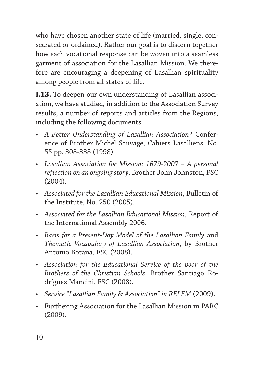who have chosen another state of life (married, single, consecrated or ordained). Rather our goal is to discern together how each vocational response can be woven into a seamless garment of association for the Lasallian Mission. We therefore are encouraging a deepening of Lasallian spirituality among people from all states of life.

**I.13.** To deepen our own understanding of Lasallian association, we have studied, in addition to the Association Survey results, a number of reports and articles from the Regions, including the following documents.

- *A Better Understanding of Lasallian Association?* Conference of Brother Michel Sauvage, Cahiers Lasalliens, No. 55 pp. 308-338 (1998).
- *Lasallian Association for Mission: 1679-2007 A personal reflection on an ongoing story*. Brother John Johnston, FSC (2004).
- *Associated for the Lasallian Educational Mission*, Bulletin of the Institute, No. 250 (2005).
- *Associated for the Lasallian Educational Mission*, Report of the International Assembly 2006.
- *Basis for a Present-Day Model of the Lasallian Family* and *Thematic Vocabulary of Lasallian Association*, by Brother Antonio Botana, FSC (2008).
- *Association for the Educational Service of the poor of the Brothers of the Christian Schools*, Brother Santiago Rodríguez Mancini, FSC (2008).
- *Service "Lasallian Family & Association" in RELEM* (2009).
- Furthering Association for the Lasallian Mission in PARC (2009).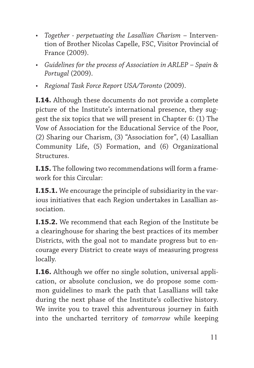- *Together perpetuating the Lasallian Charism* Intervention of Brother Nicolas Capelle, FSC, Visitor Provincial of France (2009).
- *Guidelines for the process of Association in ARLEP Spain & Portugal* (2009).
- *Regional Task Force Report USA/Toronto* (2009).

**I.14.** Although these documents do not provide a complete picture of the Institute's international presence, they suggest the six topics that we will present in Chapter 6: (1) The Vow of Association for the Educational Service of the Poor, (2) Sharing our Charism, (3) "Association for", (4) Lasallian Community Life, (5) Formation, and (6) Organizational Structures.

**I.15.** The following two recommendations will form a framework for this Circular:

**I.15.1.** We encourage the principle of subsidiarity in the various initiatives that each Region undertakes in Lasallian association.

**I.15.2.** We recommend that each Region of the Institute be a clearinghouse for sharing the best practices of its member Districts, with the goal not to mandate progress but to encourage every District to create ways of measuring progress locally.

**I.16.** Although we offer no single solution, universal application, or absolute conclusion, we do propose some common guidelines to mark the path that Lasallians will take during the next phase of the Institute's collective history. We invite you to travel this adventurous journey in faith into the uncharted territory of *tomorrow* while keeping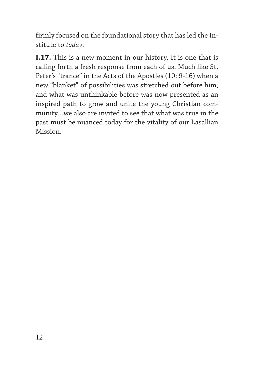firmly focused on the foundational story that has led the Institute to *today*.

**I.17.** This is a new moment in our history. It is one that is calling forth a fresh response from each of us. Much like St. Peter's "trance" in the Acts of the Apostles (10: 9-16) when a new "blanket" of possibilities was stretched out before him, and what was unthinkable before was now presented as an inspired path to grow and unite the young Christian community…we also are invited to see that what was true in the past must be nuanced today for the vitality of our Lasallian Mission.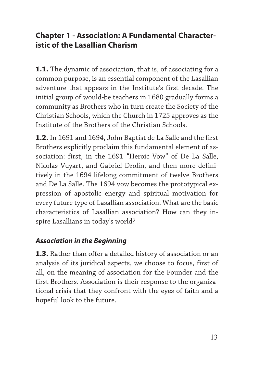## **Chapter 1 - Association: A Fundamental Characteristic of the Lasallian Charism**

**1.1.** The dynamic of association, that is, of associating for a common purpose, is an essential component of the Lasallian adventure that appears in the Institute's first decade. The initial group of would-be teachers in 1680 gradually forms a community as Brothers who in turn create the Society of the Christian Schools, which the Church in 1725 approves as the Institute of the Brothers of the Christian Schools.

**1.2.** In 1691 and 1694, John Baptist de La Salle and the first Brothers explicitly proclaim this fundamental element of association: first, in the 1691 "Heroic Vow" of De La Salle, Nicolas Vuyart, and Gabriel Drolin, and then more definitively in the 1694 lifelong commitment of twelve Brothers and De La Salle. The 1694 vow becomes the prototypical expression of apostolic energy and spiritual motivation for every future type of Lasallian association. What are the basic characteristics of Lasallian association? How can they inspire Lasallians in today's world?

#### *Association in the Beginning*

**1.3.** Rather than offer a detailed history of association or an analysis of its juridical aspects, we choose to focus, first of all, on the meaning of association for the Founder and the first Brothers. Association is their response to the organizational crisis that they confront with the eyes of faith and a hopeful look to the future.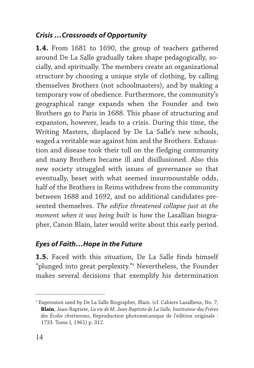## *Crisis …Crossroads of Opportunity*

**1.4.** From 1681 to 1690, the group of teachers gathered around De La Salle gradually takes shape pedagogically, socially, and spiritually. The members create an organizational structure by choosing a unique style of clothing, by calling themselves Brothers (not schoolmasters), and by making a temporary vow of obedience. Furthermore, the community's geographical range expands when the Founder and two Brothers go to Paris in 1688. This phase of structuring and expansion, however, leads to a crisis. During this time, the Writing Masters, displaced by De La Salle's new schools, waged a veritable war against him and the Brothers. Exhaustion and disease took their toll on the fledging community and many Brothers became ill and disillusioned. Also this new society struggled with issues of governance so that eventually, beset with what seemed insurmountable odds, half of the Brothers in Reims withdrew from the community between 1688 and 1692, and no additional candidates presented themselves. *The edifice threatened collapse just at the moment when it was being built* is how the Lasallian biographer, Canon Blain, later would write about this early period.

#### *Eyes of Faith…Hope in the Future*

**1.5.** Faced with this situation, De La Salle finds himself "plunged into great perplexity."4 Nevertheless, the Founder makes several decisions that exemplify his determination

<sup>4</sup> Expression used by De La Salle Biographer, Blain. (cf. Cahiers Lasalliens, No. 7, **Blain**, Jean-Baptiste, *La vie de M. Jean-Baptiste de La Salle, Instituteur des Frères des Écoles chrétiennes*, Reproduction photomécanique de l'édition originale : 1733. Tome I, 1961) p. 312.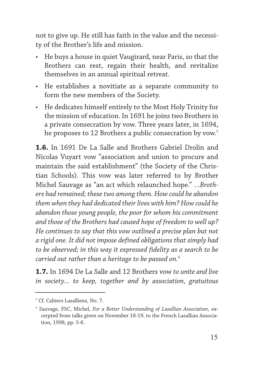not to give up. He still has faith in the value and the necessity of the Brother's life and mission.

- He buys a house in quiet Vaugirard, near Paris, so that the Brothers can rest, regain their health, and revitalize themselves in an annual spiritual retreat.
- He establishes a novitiate as a separate community to form the new members of the Society.
- He dedicates himself entirely to the Most Holy Trinity for the mission of education. In 1691 he joins two Brothers in a private consecration by vow. Three years later, in 1694, he proposes to 12 Brothers a public consecration by vow.<sup>5</sup>

**1.6.** In 1691 De La Salle and Brothers Gabriel Drolin and Nicolas Vuyart vow "association and union to procure and maintain the said establishment" (the Society of the Christian Schools). This vow was later referred to by Brother Michel Sauvage as "an act which relaunched hope." *…Brothers had remained; these two among them. How could he abandon them when they had dedicated their lives with him? How could he abandon those young people, the poor for whom his commitment and those of the Brothers had caused hope of freedom to well up? He continues to say that this vow outlined a precise plan but not a rigid one. It did not impose defined obligations that simply had to be observed; in this way it expressed fidelity as a search to be carried out rather than a heritage to be passed on.*<sup>6</sup>

**1.7.** In 1694 De La Salle and 12 Brothers vow *to unite and live in society... to keep, together and by association, gratuitous*

<sup>&</sup>lt;sup>5</sup> Cf. Cahiers Lasalliens, No. 7.

<sup>6</sup> Sauvage, FSC, Michel, *For a Better Understanding of Lasallian Association*, excerpted from talks given on November 18-19, to the French Lasallian Association, 1998, pp. 5-6.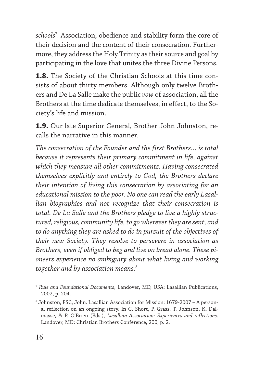*schools*<sup>7</sup> . Association, obedience and stability form the core of their decision and the content of their consecration. Furthermore, they address the Holy Trinity as their source and goal by participating in the love that unites the three Divine Persons.

**1.8.** The Society of the Christian Schools at this time consists of about thirty members. Although only twelve Brothers and De La Salle make the public *vow* of association, all the Brothers at the time dedicate themselves, in effect, to the Society's life and mission.

**1.9.** Our late Superior General, Brother John Johnston, recalls the narrative in this manner.

*The consecration of the Founder and the first Brothers… is total because it represents their primary commitment in life, against which they measure all other commitments. Having consecrated themselves explicitly and entirely to God, the Brothers declare their intention of living this consecration by associating for an educational mission to the poor. No one can read the early Lasallian biographies and not recognize that their consecration is total. De La Salle and the Brothers pledge to live a highly structured, religious, community life, to go wherever they are sent, and to do anything they are asked to do in pursuit of the objectives of their new Society. They resolve to persevere in association as Brothers, even if obliged to beg and live on bread alone. These pioneers experience no ambiguity about what living and working together and by association means.*<sup>8</sup>

<sup>7</sup> *Rule and Foundational Documents*, Landover, MD, USA: Lasallian Publications, 2002, p. 204.

<sup>8</sup> Johnston, FSC, John. Lasallian Association for Mission: 1679-2007 – A personal reflection on an ongoing story. In G. Short, P. Grass, T. Johnson, K. Dalmasse, & P. O'Brien (Eds.), *Lasallian Association: Experiences and reflections*. Landover, MD: Christian Brothers Conference, 200, p. 2.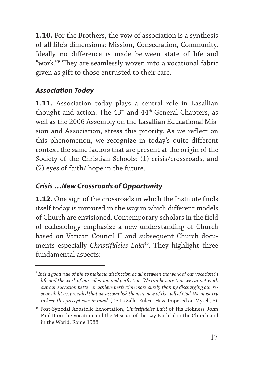**1.10.** For the Brothers, the vow of association is a synthesis of all life's dimensions: Mission, Consecration, Community. Ideally no difference is made between state of life and "work."9 They are seamlessly woven into a vocational fabric given as gift to those entrusted to their care.

## *Association Today*

**1.11.** Association today plays a central role in Lasallian thought and action. The  $43<sup>rd</sup>$  and  $44<sup>th</sup>$  General Chapters, as well as the 2006 Assembly on the Lasallian Educational Mission and Association, stress this priority. As we reflect on this phenomenon, we recognize in today's quite different context the same factors that are present at the origin of the Society of the Christian Schools: (1) crisis/crossroads, and (2) eyes of faith/ hope in the future.

## *Crisis …New Crossroads of Opportunity*

**1.12.** One sign of the crossroads in which the Institute finds itself today is mirrored in the way in which different models of Church are envisioned. Contemporary scholars in the field of ecclesiology emphasize a new understanding of Church based on Vatican Council II and subsequent Church documents especially *Christifideles Laici<sup>10</sup>*. They highlight three fundamental aspects:

<sup>9</sup> *It is a good rule of life to make no distinction at all between the work of our vocation in life and the work of our salvation and perfection. We can be sure that we cannot work out our salvation better or achieve perfection more surely than by discharging our responsibilities, provided that we accomplish them in view of the will of God. We must try to keep this precept ever in mind.* (De La Salle, Rules I Have Imposed on Myself, 3)

<sup>10</sup> Post-Synodal Apostolic Exhortation, *Christifideles Laici* of His Holiness John Paul II on the Vocation and the Mission of the Lay Faithful in the Church and in the World. Rome 1988.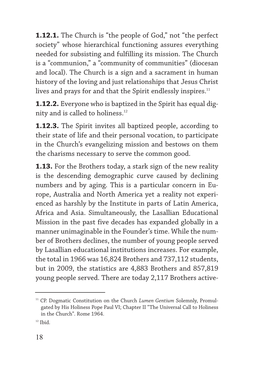**1.12.1.** The Church is "the people of God," not "the perfect society" whose hierarchical functioning assures everything needed for subsisting and fulfilling its mission. The Church is a "communion," a "community of communities" (diocesan and local). The Church is a sign and a sacrament in human history of the loving and just relationships that Jesus Christ lives and prays for and that the Spirit endlessly inspires.<sup>11</sup>

**1.12.2.** Everyone who is baptized in the Spirit has equal dignity and is called to holiness.<sup>12</sup>

**1.12.3.** The Spirit invites all baptized people, according to their state of life and their personal vocation, to participate in the Church's evangelizing mission and bestows on them the charisms necessary to serve the common good.

**1.13.** For the Brothers today, a stark sign of the new reality is the descending demographic curve caused by declining numbers and by aging. This is a particular concern in Europe, Australia and North America yet a reality not experienced as harshly by the Institute in parts of Latin America, Africa and Asia. Simultaneously, the Lasallian Educational Mission in the past five decades has expanded globally in a manner unimaginable in the Founder's time. While the number of Brothers declines, the number of young people served by Lasallian educational institutions increases. For example, the total in 1966 was 16,824 Brothers and 737,112 students, but in 2009, the statistics are 4,883 Brothers and 857,819 young people served. There are today 2,117 Brothers active-

<sup>&</sup>lt;sup>11</sup> CP. Dogmatic Constitution on the Church *Lumen Gentium* Solemnly, Promulgated by His Holiness Pope Paul VI; Chapter II "The Universal Call to Holiness in the Church". Rome 1964.

 $12$  Ibid.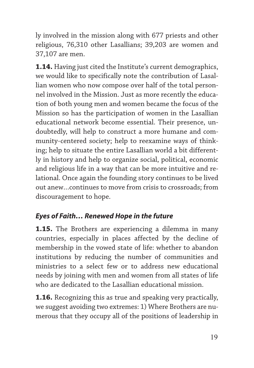ly involved in the mission along with 677 priests and other religious, 76,310 other Lasallians; 39,203 are women and 37,107 are men.

**1.14.** Having just cited the Institute's current demographics, we would like to specifically note the contribution of Lasallian women who now compose over half of the total personnel involved in the Mission. Just as more recently the education of both young men and women became the focus of the Mission so has the participation of women in the Lasallian educational network become essential. Their presence, undoubtedly, will help to construct a more humane and community-centered society; help to reexamine ways of thinking; help to situate the entire Lasallian world a bit differently in history and help to organize social, political, economic and religious life in a way that can be more intuitive and relational. Once again the founding story continues to be lived out anew…continues to move from crisis to crossroads; from discouragement to hope.

## *Eyes of Faith… Renewed Hope in the future*

**1.15.** The Brothers are experiencing a dilemma in many countries, especially in places affected by the decline of membership in the vowed state of life: whether to abandon institutions by reducing the number of communities and ministries to a select few or to address new educational needs by joining with men and women from all states of life who are dedicated to the Lasallian educational mission.

**1.16.** Recognizing this as true and speaking very practically, we suggest avoiding two extremes: 1) Where Brothers are numerous that they occupy all of the positions of leadership in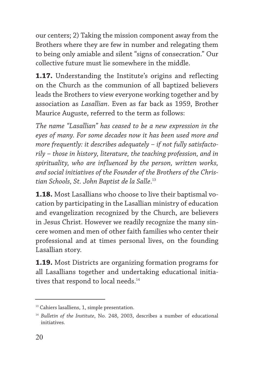our centers; 2) Taking the mission component away from the Brothers where they are few in number and relegating them to being only amiable and silent "signs of consecration." Our collective future must lie somewhere in the middle.

**1.17.** Understanding the Institute's origins and reflecting on the Church as the communion of all baptized believers leads the Brothers to view everyone working together and by association as *Lasallian*. Even as far back as 1959, Brother Maurice Auguste, referred to the term as follows:

*The name "Lasallian" has ceased to be a new expression in the eyes of many. For some decades now it has been used more and more frequently: it describes adequately – if not fully satisfactorily – those in history, literature, the teaching profession, and in spirituality, who are influenced by the person, written works, and social initiatives of the Founder of the Brothers of the Christian Schools, St. John Baptist de la Salle*. 13

**1.18.** Most Lasallians who choose to live their baptismal vocation by participating in the Lasallian ministry of education and evangelization recognized by the Church, are believers in Jesus Christ. However we readily recognize the many sincere women and men of other faith families who center their professional and at times personal lives, on the founding Lasallian story.

**1.19.** Most Districts are organizing formation programs for all Lasallians together and undertaking educational initiatives that respond to local needs.<sup>14</sup>

<sup>&</sup>lt;sup>13</sup> Cahiers lasalliens, 1, simple presentation.

<sup>14</sup> *Bulletin of the Institute*, No. 248, 2003, describes a number of educational initiatives.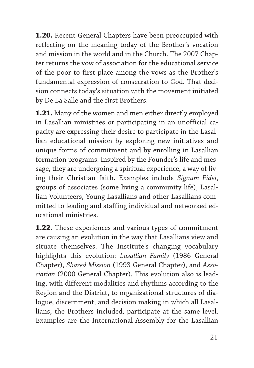**1.20.** Recent General Chapters have been preoccupied with reflecting on the meaning today of the Brother's vocation and mission in the world and in the Church. The 2007 Chapter returns the vow of association for the educational service of the poor to first place among the vows as the Brother's fundamental expression of consecration to God. That decision connects today's situation with the movement initiated by De La Salle and the first Brothers.

**1.21.** Many of the women and men either directly employed in Lasallian ministries or participating in an unofficial capacity are expressing their desire to participate in the Lasallian educational mission by exploring new initiatives and unique forms of commitment and by enrolling in Lasallian formation programs. Inspired by the Founder's life and message, they are undergoing a spiritual experience, a way of living their Christian faith. Examples include *Signum Fidei*, groups of associates (some living a community life), Lasallian Volunteers, Young Lasallians and other Lasallians committed to leading and staffing individual and networked educational ministries.

**1.22.** These experiences and various types of commitment are causing an evolution in the way that Lasallians view and situate themselves. The Institute's changing vocabulary highlights this evolution: *Lasallian Family* (1986 General Chapter), *Shared Mission* (1993 General Chapter), and *Association* (2000 General Chapter). This evolution also is leading, with different modalities and rhythms according to the Region and the District, to organizational structures of dialogue, discernment, and decision making in which all Lasallians, the Brothers included, participate at the same level. Examples are the International Assembly for the Lasallian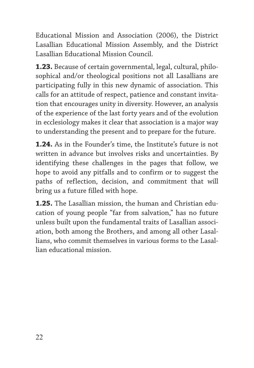Educational Mission and Association (2006), the District Lasallian Educational Mission Assembly, and the District Lasallian Educational Mission Council.

**1.23.** Because of certain governmental, legal, cultural, philosophical and/or theological positions not all Lasallians are participating fully in this new dynamic of association. This calls for an attitude of respect, patience and constant invitation that encourages unity in diversity. However, an analysis of the experience of the last forty years and of the evolution in ecclesiology makes it clear that association is a major way to understanding the present and to prepare for the future.

**1.24.** As in the Founder's time, the Institute's future is not written in advance but involves risks and uncertainties. By identifying these challenges in the pages that follow, we hope to avoid any pitfalls and to confirm or to suggest the paths of reflection, decision, and commitment that will bring us a future filled with hope.

**1.25.** The Lasallian mission, the human and Christian education of young people "far from salvation," has no future unless built upon the fundamental traits of Lasallian association, both among the Brothers, and among all other Lasallians, who commit themselves in various forms to the Lasallian educational mission.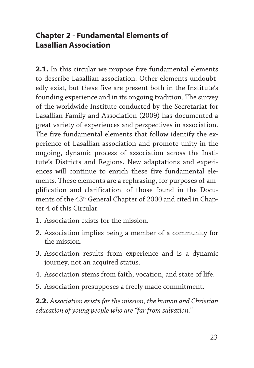## **Chapter 2 - Fundamental Elements of Lasallian Association**

**2.1.** In this circular we propose five fundamental elements to describe Lasallian association. Other elements undoubtedly exist, but these five are present both in the Institute's founding experience and in its ongoing tradition. The survey of the worldwide Institute conducted by the Secretariat for Lasallian Family and Association (2009) has documented a great variety of experiences and perspectives in association. The five fundamental elements that follow identify the experience of Lasallian association and promote unity in the ongoing, dynamic process of association across the Institute's Districts and Regions. New adaptations and experiences will continue to enrich these five fundamental elements. These elements are a rephrasing, for purposes of amplification and clarification, of those found in the Documents of the 43rd General Chapter of 2000 and cited in Chapter 4 of this Circular.

- 1. Association exists for the mission.
- 2. Association implies being a member of a community for the mission.
- 3. Association results from experience and is a dynamic journey, not an acquired status.
- 4. Association stems from faith, vocation, and state of life.
- 5. Association presupposes a freely made commitment.

**2.2.** *Association exists for the mission, the human and Christian education of young people who are "far from salvation."*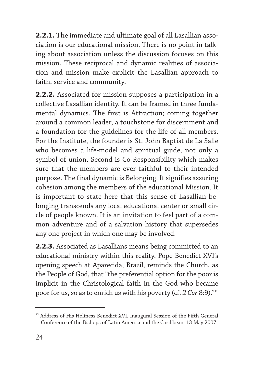**2.2.1.** The immediate and ultimate goal of all Lasallian association is our educational mission. There is no point in talking about association unless the discussion focuses on this mission. These reciprocal and dynamic realities of association and mission make explicit the Lasallian approach to faith, service and community.

**2.2.2.** Associated for mission supposes a participation in a collective Lasallian identity. It can be framed in three fundamental dynamics. The first is Attraction; coming together around a common leader, a touchstone for discernment and a foundation for the guidelines for the life of all members. For the Institute, the founder is St. John Baptist de La Salle who becomes a life-model and spiritual guide, not only a symbol of union. Second is Co-Responsibility which makes sure that the members are ever faithful to their intended purpose. The final dynamic is Belonging. It signifies assuring cohesion among the members of the educational Mission. It is important to state here that this sense of Lasallian belonging transcends any local educational center or small circle of people known. It is an invitation to feel part of a common adventure and of a salvation history that supersedes any one project in which one may be involved.

**2.2.3.** Associated as Lasallians means being committed to an educational ministry within this reality. Pope Benedict XVI's opening speech at Aparecida, Brazil, reminds the Church, as the People of God, that "the preferential option for the poor is implicit in the Christological faith in the God who became poor for us, so as to enrich us with his poverty (cf. *2 Cor* 8:9)."15

<sup>&</sup>lt;sup>15</sup> Address of His Holiness Benedict XVI, Inaugural Session of the Fifth General Conference of the Bishops of Latin America and the Caribbean, 13 May 2007.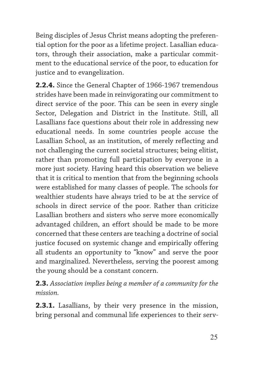Being disciples of Jesus Christ means adopting the preferential option for the poor as a lifetime project. Lasallian educators, through their association, make a particular commitment to the educational service of the poor, to education for justice and to evangelization.

**2.2.4.** Since the General Chapter of 1966-1967 tremendous strides have been made in reinvigorating our commitment to direct service of the poor. This can be seen in every single Sector, Delegation and District in the Institute. Still, all Lasallians face questions about their role in addressing new educational needs. In some countries people accuse the Lasallian School, as an institution, of merely reflecting and not challenging the current societal structures; being elitist, rather than promoting full participation by everyone in a more just society. Having heard this observation we believe that it is critical to mention that from the beginning schools were established for many classes of people. The schools for wealthier students have always tried to be at the service of schools in direct service of the poor. Rather than criticize Lasallian brothers and sisters who serve more economically advantaged children, an effort should be made to be more concerned that these centers are teaching a doctrine of social justice focused on systemic change and empirically offering all students an opportunity to "know" and serve the poor and marginalized. Nevertheless, serving the poorest among the young should be a constant concern.

**2.3.** *Association implies being a member of a community for the mission.*

**2.3.1.** Lasallians, by their very presence in the mission, bring personal and communal life experiences to their serv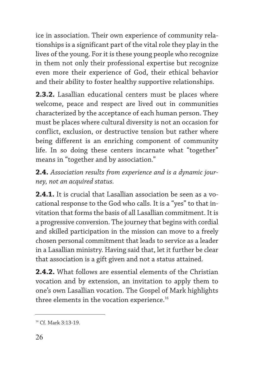ice in association. Their own experience of community relationships is a significant part of the vital role they play in the lives of the young. For it is these young people who recognize in them not only their professional expertise but recognize even more their experience of God, their ethical behavior and their ability to foster healthy supportive relationships.

**2.3.2.** Lasallian educational centers must be places where welcome, peace and respect are lived out in communities characterized by the acceptance of each human person. They must be places where cultural diversity is not an occasion for conflict, exclusion, or destructive tension but rather where being different is an enriching component of community life. In so doing these centers incarnate what "together" means in "together and by association."

**2.4.** *Association results from experience and is a dynamic journey, not an acquired status.*

**2.4.1.** It is crucial that Lasallian association be seen as a vocational response to the God who calls. It is a "yes" to that invitation that forms the basis of all Lasallian commitment. It is a progressive conversion. The journey that begins with cordial and skilled participation in the mission can move to a freely chosen personal commitment that leads to service as a leader in a Lasallian ministry. Having said that, let it further be clear that association is a gift given and not a status attained.

**2.4.2.** What follows are essential elements of the Christian vocation and by extension, an invitation to apply them to one's own Lasallian vocation. The Gospel of Mark highlights three elements in the vocation experience.<sup>16</sup>

<sup>16</sup> Cf. Mark 3:13-19.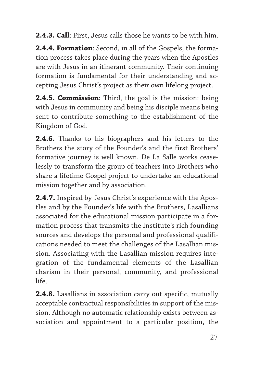**2.4.3. Call**: First, Jesus calls those he wants to be with him.

**2.4.4. Formation**: Second, in all of the Gospels, the formation process takes place during the years when the Apostles are with Jesus in an itinerant community. Their continuing formation is fundamental for their understanding and accepting Jesus Christ's project as their own lifelong project.

**2.4.5. Commission**: Third, the goal is the mission: being with Jesus in community and being his disciple means being sent to contribute something to the establishment of the Kingdom of God.

**2.4.6.** Thanks to his biographers and his letters to the Brothers the story of the Founder's and the first Brothers' formative journey is well known. De La Salle works ceaselessly to transform the group of teachers into Brothers who share a lifetime Gospel project to undertake an educational mission together and by association.

**2.4.7.** Inspired by Jesus Christ's experience with the Apostles and by the Founder's life with the Brothers, Lasallians associated for the educational mission participate in a formation process that transmits the Institute's rich founding sources and develops the personal and professional qualifications needed to meet the challenges of the Lasallian mission. Associating with the Lasallian mission requires integration of the fundamental elements of the Lasallian charism in their personal, community, and professional life.

**2.4.8.** Lasallians in association carry out specific, mutually acceptable contractual responsibilities in support of the mission. Although no automatic relationship exists between association and appointment to a particular position, the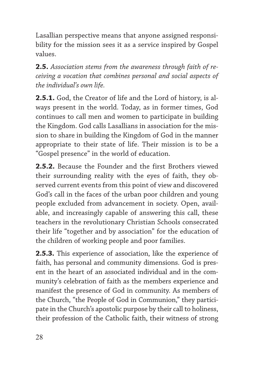Lasallian perspective means that anyone assigned responsibility for the mission sees it as a service inspired by Gospel values.

**2.5.** *Association stems from the awareness through faith of receiving a vocation that combines personal and social aspects of the individual's own life.*

**2.5.1.** God, the Creator of life and the Lord of history, is always present in the world. Today, as in former times, God continues to call men and women to participate in building the Kingdom. God calls Lasallians in association for the mission to share in building the Kingdom of God in the manner appropriate to their state of life. Their mission is to be a "Gospel presence" in the world of education.

**2.5.2.** Because the Founder and the first Brothers viewed their surrounding reality with the eyes of faith, they observed current events from this point of view and discovered God's call in the faces of the urban poor children and young people excluded from advancement in society. Open, available, and increasingly capable of answering this call, these teachers in the revolutionary Christian Schools consecrated their life "together and by association" for the education of the children of working people and poor families.

**2.5.3.** This experience of association, like the experience of faith, has personal and community dimensions. God is present in the heart of an associated individual and in the community's celebration of faith as the members experience and manifest the presence of God in community. As members of the Church, "the People of God in Communion," they participate in the Church's apostolic purpose by their call to holiness, their profession of the Catholic faith, their witness of strong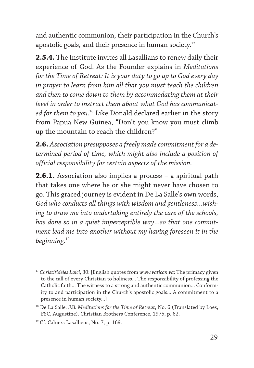and authentic communion, their participation in the Church's apostolic goals, and their presence in human society.17

**2.5.4.** The Institute invites all Lasallians to renew daily their experience of God. As the Founder explains in *Meditations for the Time of Retreat: It is your duty to go up to God every day in prayer to learn from him all that you must teach the children and then to come down to them by accommodating them at their level in order to instruct them about what God has communicated for them to you.*<sup>18</sup> Like Donald declared earlier in the story from Papua New Guinea, "Don't you know you must climb up the mountain to reach the children?"

**2.6.** *Association presupposes a freely made commitment for a determined period of time, which might also include a position of official responsibility for certain aspects of the mission.*

**2.6.1.** Association also implies a process – a spiritual path that takes one where he or she might never have chosen to go. This graced journey is evident in De La Salle's own words, *God who conducts all things with wisdom and gentleness…wishing to draw me into undertaking entirely the care of the schools, has done so in a quiet imperceptible way…so that one commitment lead me into another without my having foreseen it in the beginning*. 19

<sup>17</sup> *Christifideles Laici*, 30: [English quotes from *www.vatican.va*: The primacy given to the call of every Christian to holiness... The responsibility of professing the Catholic faith... The witness to a strong and authentic communion... Conformity to and participation in the Church's apostolic goals... A commitment to a presence in human society...]

<sup>&</sup>lt;sup>18</sup> De La Salle, J.B. *Meditations for the Time of Retreat*, No. 6 (Translated by Loes, FSC, Augustine). Christian Brothers Conference, 1975, p. 62.

<sup>&</sup>lt;sup>19</sup> Cf. Cahiers Lasalliens, No. 7, p. 169.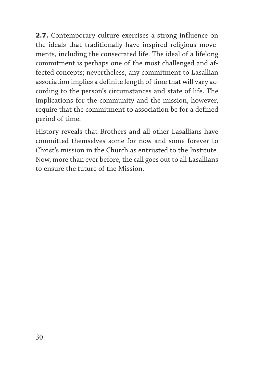**2.7.** Contemporary culture exercises a strong influence on the ideals that traditionally have inspired religious movements, including the consecrated life. The ideal of a lifelong commitment is perhaps one of the most challenged and affected concepts; nevertheless, any commitment to Lasallian association implies a definite length of time that will vary according to the person's circumstances and state of life. The implications for the community and the mission, however, require that the commitment to association be for a defined period of time.

History reveals that Brothers and all other Lasallians have committed themselves some for now and some forever to Christ's mission in the Church as entrusted to the Institute. Now, more than ever before, the call goes out to all Lasallians to ensure the future of the Mission.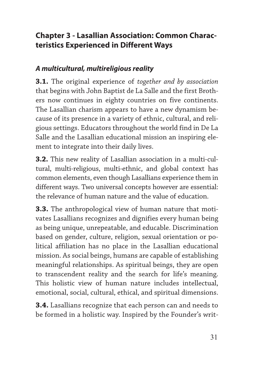# **Chapter 3 - Lasallian Association: Common Characteristics Experienced in Different Ways**

## *A multicultural, multireligious reality*

**3.1.** The original experience of *together and by association* that begins with John Baptist de La Salle and the first Brothers now continues in eighty countries on five continents. The Lasallian charism appears to have a new dynamism because of its presence in a variety of ethnic, cultural, and religious settings. Educators throughout the world find in De La Salle and the Lasallian educational mission an inspiring element to integrate into their daily lives.

**3.2.** This new reality of Lasallian association in a multi-cultural, multi-religious, multi-ethnic, and global context has common elements, even though Lasallians experience them in different ways. Two universal concepts however are essential: the relevance of human nature and the value of education.

**3.3.** The anthropological view of human nature that motivates Lasallians recognizes and dignifies every human being as being unique, unrepeatable, and educable. Discrimination based on gender, culture, religion, sexual orientation or political affiliation has no place in the Lasallian educational mission. As social beings, humans are capable of establishing meaningful relationships. As spiritual beings, they are open to transcendent reality and the search for life's meaning. This holistic view of human nature includes intellectual, emotional, social, cultural, ethical, and spiritual dimensions.

**3.4.** Lasallians recognize that each person can and needs to be formed in a holistic way. Inspired by the Founder's writ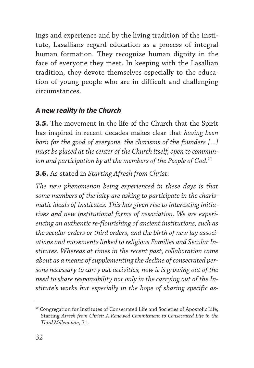ings and experience and by the living tradition of the Institute, Lasallians regard education as a process of integral human formation. They recognize human dignity in the face of everyone they meet. In keeping with the Lasallian tradition, they devote themselves especially to the education of young people who are in difficult and challenging circumstances.

## *A new reality in the Church*

**3.5.** The movement in the life of the Church that the Spirit has inspired in recent decades makes clear that *having been born for the good of everyone, the charisms of the founders […] must be placed at the center of the Church itself, open to commun*ion and participation by all the members of the People of God.<sup>20</sup>

**3.6.** As stated in *Starting Afresh from Christ*:

*The new phenomenon being experienced in these days is that some members of the laity are asking to participate in the charismatic ideals of Institutes. This has given rise to interesting initiatives and new institutional forms of association. We are experiencing an authentic re-flourishing of ancient institutions, such as the secular orders or third orders, and the birth of new lay associations and movements linked to religious Families and Secular Institutes. Whereas at times in the recent past, collaboration came about as a means of supplementing the decline of consecrated persons necessary to carry out activities, now it is growing out of the need to share responsibility not only in the carrying out of the Institute's works but especially in the hope of sharing specific as-*

<sup>&</sup>lt;sup>20</sup> Congregation for Institutes of Consecrated Life and Societies of Apostolic Life, Starting *Afresh from Christ: A Renewed Commitment to Consecrated Life in the Third Millennium*, 31.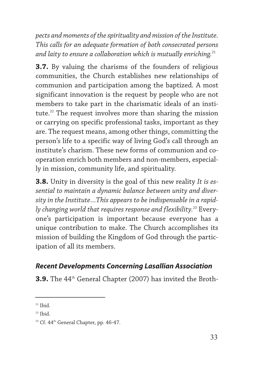*pects and moments of the spirituality and mission of the Institute. This calls for an adequate formation of both consecrated persons and laity to ensure a collaboration which is mutually enriching.*<sup>21</sup>

**3.7.** By valuing the charisms of the founders of religious communities, the Church establishes new relationships of communion and participation among the baptized. A most significant innovation is the request by people who are not members to take part in the charismatic ideals of an institute.<sup>22</sup> The request involves more than sharing the mission or carrying on specific professional tasks, important as they are. The request means, among other things, committing the person's life to a specific way of living God's call through an institute's charism. These new forms of communion and cooperation enrich both members and non-members, especially in mission, community life, and spirituality.

**3.8.** Unity in diversity is the goal of this new reality *It is essential to maintain a dynamic balance between unity and diversity in the Institute…This appears to be indispensable in a rapidly changing world that requires response and flexibility.*<sup>23</sup> Everyone's participation is important because everyone has a unique contribution to make. The Church accomplishes its mission of building the Kingdom of God through the participation of all its members.

## *Recent Developments Concerning Lasallian Association*

**3.9.** The 44<sup>th</sup> General Chapter (2007) has invited the Broth-

 $21$  Ibid.

 $22$  Ibid.

 $23$  Cf.  $44<sup>th</sup>$  General Chapter, pp.  $46-47$ .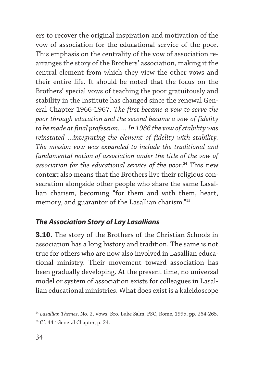ers to recover the original inspiration and motivation of the vow of association for the educational service of the poor. This emphasis on the centrality of the vow of association rearranges the story of the Brothers' association, making it the central element from which they view the other vows and their entire life. It should be noted that the focus on the Brothers' special vows of teaching the poor gratuitously and stability in the Institute has changed since the renewal General Chapter 1966-1967. *The first became a vow to serve the poor through education and the second became a vow of fidelity to be made at final profession. … In 1986 the vow of stability was reinstated …integrating the element of fidelity with stability. The mission vow was expanded to include the traditional and fundamental notion of association under the title of the vow of association for the educational service of the poor*. <sup>24</sup> This new context also means that the Brothers live their religious consecration alongside other people who share the same Lasallian charism, becoming "for them and with them, heart, memory, and guarantor of the Lasallian charism."25

## *The Association Story of Lay Lasallians*

**3.10.** The story of the Brothers of the Christian Schools in association has a long history and tradition. The same is not true for others who are now also involved in Lasallian educational ministry. Their movement toward association has been gradually developing. At the present time, no universal model or system of association exists for colleagues in Lasallian educational ministries. What does exist is a kaleidoscope

<sup>24</sup> *Lasallian Themes*, No. 2, Vows, Bro. Luke Salm, FSC, Rome, 1995, pp. 264-265. <sup>25</sup> Cf. 44<sup>th</sup> General Chapter, p. 24.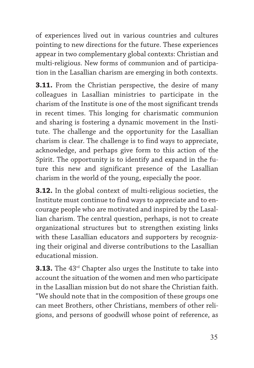of experiences lived out in various countries and cultures pointing to new directions for the future. These experiences appear in two complementary global contexts: Christian and multi-religious. New forms of communion and of participation in the Lasallian charism are emerging in both contexts.

**3.11.** From the Christian perspective, the desire of many colleagues in Lasallian ministries to participate in the charism of the Institute is one of the most significant trends in recent times. This longing for charismatic communion and sharing is fostering a dynamic movement in the Institute. The challenge and the opportunity for the Lasallian charism is clear. The challenge is to find ways to appreciate, acknowledge, and perhaps give form to this action of the Spirit. The opportunity is to identify and expand in the future this new and significant presence of the Lasallian charism in the world of the young, especially the poor.

**3.12.** In the global context of multi-religious societies, the Institute must continue to find ways to appreciate and to encourage people who are motivated and inspired by the Lasallian charism. The central question, perhaps, is not to create organizational structures but to strengthen existing links with these Lasallian educators and supporters by recognizing their original and diverse contributions to the Lasallian educational mission.

**3.13.** The 43<sup>rd</sup> Chapter also urges the Institute to take into account the situation of the women and men who participate in the Lasallian mission but do not share the Christian faith. "We should note that in the composition of these groups one can meet Brothers, other Christians, members of other religions, and persons of goodwill whose point of reference, as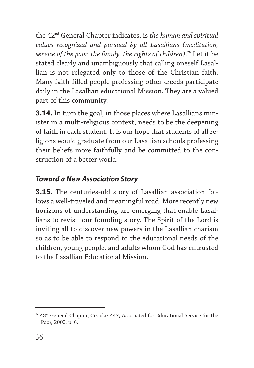the 42nd General Chapter indicates, is *the human and spiritual values recognized and pursued by all Lasallians (meditation, service of the poor, the family, the rights of children)*. <sup>26</sup> Let it be stated clearly and unambiguously that calling oneself Lasallian is not relegated only to those of the Christian faith. Many faith-filled people professing other creeds participate daily in the Lasallian educational Mission. They are a valued part of this community.

**3.14.** In turn the goal, in those places where Lasallians minister in a multi-religious context, needs to be the deepening of faith in each student. It is our hope that students of all religions would graduate from our Lasallian schools professing their beliefs more faithfully and be committed to the construction of a better world.

## *Toward a New Association Story*

**3.15.** The centuries-old story of Lasallian association follows a well-traveled and meaningful road. More recently new horizons of understanding are emerging that enable Lasallians to revisit our founding story. The Spirit of the Lord is inviting all to discover new powers in the Lasallian charism so as to be able to respond to the educational needs of the children, young people, and adults whom God has entrusted to the Lasallian Educational Mission.

<sup>&</sup>lt;sup>26</sup> 43<sup>rd</sup> General Chapter, Circular 447, Associated for Educational Service for the Poor, 2000, p. 6.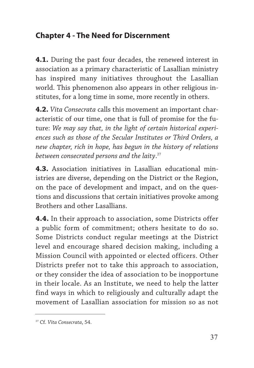## **Chapter 4 - The Need for Discernment**

**4.1.** During the past four decades, the renewed interest in association as a primary characteristic of Lasallian ministry has inspired many initiatives throughout the Lasallian world. This phenomenon also appears in other religious institutes, for a long time in some, more recently in others.

**4.2.** *Vita Consecrata* calls this movement an important characteristic of our time, one that is full of promise for the future: *We may say that, in the light of certain historical experiences such as those of the Secular Institutes or Third Orders, a new chapter, rich in hope, has begun in the history of relations between consecrated persons and the laity*. 27

**4.3.** Association initiatives in Lasallian educational ministries are diverse, depending on the District or the Region, on the pace of development and impact, and on the questions and discussions that certain initiatives provoke among Brothers and other Lasallians.

**4.4.** In their approach to association, some Districts offer a public form of commitment; others hesitate to do so. Some Districts conduct regular meetings at the District level and encourage shared decision making, including a Mission Council with appointed or elected officers. Other Districts prefer not to take this approach to association, or they consider the idea of association to be inopportune in their locale. As an Institute, we need to help the latter find ways in which to religiously and culturally adapt the movement of Lasallian association for mission so as not

<sup>27</sup> Cf. *Vita Consecrata*, 54.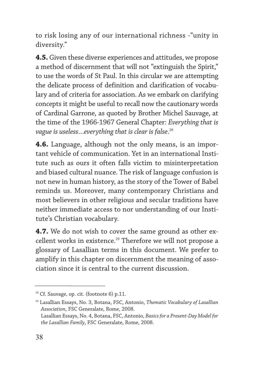to risk losing any of our international richness -"unity in diversity."

**4.5.** Given these diverse experiences and attitudes, we propose a method of discernment that will not "extinguish the Spirit," to use the words of St Paul. In this circular we are attempting the delicate process of definition and clarification of vocabulary and of criteria for association. As we embark on clarifying concepts it might be useful to recall now the cautionary words of Cardinal Garrone, as quoted by Brother Michel Sauvage, at the time of the 1966-1967 General Chapter: *Everything that is vague is useless…everything that is clear is false*. 28

**4.6.** Language, although not the only means, is an important vehicle of communication. Yet in an international Institute such as ours it often falls victim to misinterpretation and biased cultural nuance. The risk of language confusion is not new in human history, as the story of the Tower of Babel reminds us. Moreover, many contemporary Christians and most believers in other religious and secular traditions have neither immediate access to nor understanding of our Institute's Christian vocabulary.

**4.7.** We do not wish to cover the same ground as other excellent works in existence.<sup>29</sup> Therefore we will not propose a glossary of Lasallian terms in this document. We prefer to amplify in this chapter on discernment the meaning of association since it is central to the current discussion.

 $28$  Cf. Sauvage, op. cit. (footnote 6) p.11.

<sup>29</sup> Lasallian Essays, No. 3, Botana, FSC, Antonio, *Thematic Vocabulary of Lasallian Association*, FSC Generalate, Rome, 2008. Lasallian Essays, No. 4, Botana, FSC, Antonio, *Basics for a Present-Day Model for*

*the Lasallian Family*, FSC Generalate, Rome, 2008.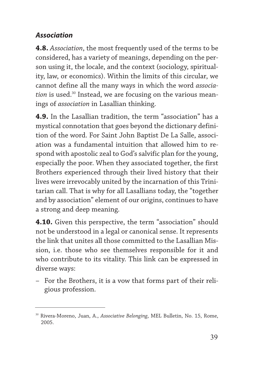## *Association*

**4.8.** *Association*, the most frequently used of the terms to be considered, has a variety of meanings, depending on the person using it, the locale, and the context (sociology, spirituality, law, or economics). Within the limits of this circular, we cannot define all the many ways in which the word *associa*tion is used.<sup>30</sup> Instead, we are focusing on the various meanings of *association* in Lasallian thinking.

**4.9.** In the Lasallian tradition, the term "association" has a mystical connotation that goes beyond the dictionary definition of the word. For Saint John Baptist De La Salle, association was a fundamental intuition that allowed him to respond with apostolic zeal to God's salvific plan for the young, especially the poor. When they associated together, the first Brothers experienced through their lived history that their lives were irrevocably united by the incarnation of this Trinitarian call. That is why for all Lasallians today, the "together and by association" element of our origins, continues to have a strong and deep meaning.

**4.10.** Given this perspective, the term "association" should not be understood in a legal or canonical sense. It represents the link that unites all those committed to the Lasallian Mission, i.e. those who see themselves responsible for it and who contribute to its vitality. This link can be expressed in diverse ways:

– For the Brothers, it is a vow that forms part of their religious profession.

<sup>30</sup> Rivera-Moreno, Juan, A., *Associative Belonging*, MEL Bulletin, No. 15, Rome, 2005.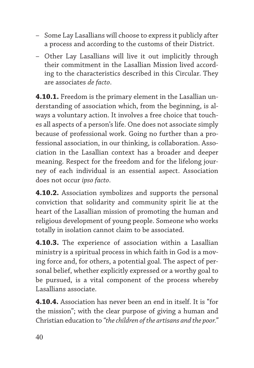- Some Lay Lasallians will choose to express it publicly after a process and according to the customs of their District.
- Other Lay Lasallians will live it out implicitly through their commitment in the Lasallian Mission lived according to the characteristics described in this Circular. They are associates *de facto*.

**4.10.1.** Freedom is the primary element in the Lasallian understanding of association which, from the beginning, is always a voluntary action. It involves a free choice that touches all aspects of a person's life. One does not associate simply because of professional work. Going no further than a professional association, in our thinking, is collaboration. Association in the Lasallian context has a broader and deeper meaning. Respect for the freedom and for the lifelong journey of each individual is an essential aspect. Association does not occur *ipso facto*.

**4.10.2.** Association symbolizes and supports the personal conviction that solidarity and community spirit lie at the heart of the Lasallian mission of promoting the human and religious development of young people. Someone who works totally in isolation cannot claim to be associated.

**4.10.3.** The experience of association within a Lasallian ministry is a spiritual process in which faith in God is a moving force and, for others, a potential goal. The aspect of personal belief, whether explicitly expressed or a worthy goal to be pursued, is a vital component of the process whereby Lasallians associate.

**4.10.4.** Association has never been an end in itself. It is "for the mission"; with the clear purpose of giving a human and Christian education to *"the children of the artisans and the poor."*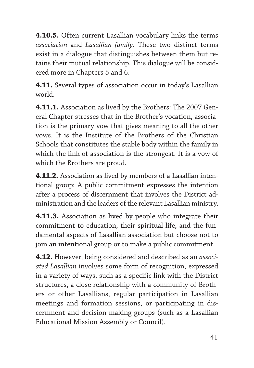**4.10.5.** Often current Lasallian vocabulary links the terms *association* and *Lasallian family*. These two distinct terms exist in a dialogue that distinguishes between them but retains their mutual relationship. This dialogue will be considered more in Chapters 5 and 6.

**4.11.** Several types of association occur in today's Lasallian world.

**4.11.1.** Association as lived by the Brothers: The 2007 General Chapter stresses that in the Brother's vocation, association is the primary vow that gives meaning to all the other vows. It is the Institute of the Brothers of the Christian Schools that constitutes the stable body within the family in which the link of association is the strongest. It is a vow of which the Brothers are proud.

**4.11.2.** Association as lived by members of a Lasallian intentional group: A public commitment expresses the intention after a process of discernment that involves the District administration and the leaders of the relevant Lasallian ministry.

**4.11.3.** Association as lived by people who integrate their commitment to education, their spiritual life, and the fundamental aspects of Lasallian association but choose not to join an intentional group or to make a public commitment.

**4.12.** However, being considered and described as an *associated Lasallian* involves some form of recognition, expressed in a variety of ways, such as a specific link with the District structures, a close relationship with a community of Brothers or other Lasallians, regular participation in Lasallian meetings and formation sessions, or participating in discernment and decision-making groups (such as a Lasallian Educational Mission Assembly or Council).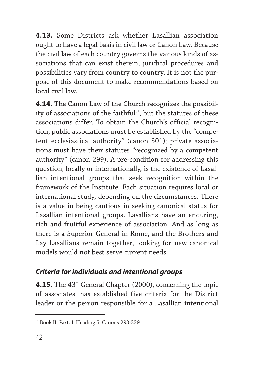**4.13.** Some Districts ask whether Lasallian association ought to have a legal basis in civil law or Canon Law. Because the civil law of each country governs the various kinds of associations that can exist therein, juridical procedures and possibilities vary from country to country. It is not the purpose of this document to make recommendations based on local civil law.

**4.14.** The Canon Law of the Church recognizes the possibility of associations of the faithful<sup>31</sup>, but the statutes of these associations differ. To obtain the Church's official recognition, public associations must be established by the "competent ecclesiastical authority" (canon 301); private associations must have their statutes "recognized by a competent authority" (canon 299). A pre-condition for addressing this question, locally or internationally, is the existence of Lasallian intentional groups that seek recognition within the framework of the Institute. Each situation requires local or international study, depending on the circumstances. There is a value in being cautious in seeking canonical status for Lasallian intentional groups. Lasallians have an enduring, rich and fruitful experience of association. And as long as there is a Superior General in Rome, and the Brothers and Lay Lasallians remain together, looking for new canonical models would not best serve current needs.

#### *Criteria for individuals and intentional groups*

**4.15.** The 43<sup>rd</sup> General Chapter (2000), concerning the topic of associates, has established five criteria for the District leader or the person responsible for a Lasallian intentional

<sup>31</sup> Book II, Part. I, Heading 5, Canons 298-329.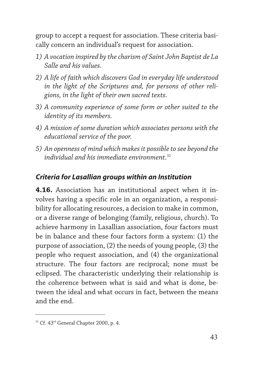group to accept a request for association. These criteria basically concern an individual's request for association.

- *1) A vocation inspired by the charism of Saint John Baptist de La Salle and his values.*
- *2) A life of faith which discovers God in everyday life understood in the light of the Scriptures and, for persons of other religions, in the light of their own sacred texts.*
- *3) A community experience of some form or other suited to the identity of its members.*
- *4) A mission of some duration which associates persons with the educational service of the poor.*
- *5) An openness of mind which makes it possible to see beyond the individual and his immediate environment.*<sup>32</sup>

#### *Criteria for Lasallian groups within an Institution*

**4.16.** Association has an institutional aspect when it involves having a specific role in an organization, a responsibility for allocating resources, a decision to make in common, or a diverse range of belonging (family, religious, church). To achieve harmony in Lasallian association, four factors must be in balance and these four factors form a system: (1) the purpose of association, (2) the needs of young people, (3) the people who request association, and (4) the organizational structure. The four factors are reciprocal; none must be eclipsed. The characteristic underlying their relationship is the coherence between what is said and what is done, between the ideal and what occurs in fact, between the means and the end.

<sup>&</sup>lt;sup>32</sup> Cf. 43<sup>rd</sup> General Chapter 2000, p. 4.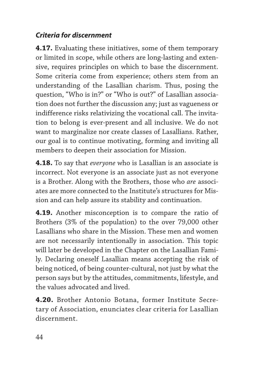## *Criteria for discernment*

**4.17.** Evaluating these initiatives, some of them temporary or limited in scope, while others are long-lasting and extensive, requires principles on which to base the discernment. Some criteria come from experience; others stem from an understanding of the Lasallian charism. Thus, posing the question, "Who is in?" or "Who is out?" of Lasallian association does not further the discussion any; just as vagueness or indifference risks relativizing the vocational call. The invitation to belong is ever-present and all inclusive. We do not want to marginalize nor create classes of Lasallians. Rather, our goal is to continue motivating, forming and inviting all members to deepen their association for Mission.

**4.18.** To say that *everyone* who is Lasallian is an associate is incorrect. Not everyone is an associate just as not everyone is a Brother. Along with the Brothers, those who *are* associates are more connected to the Institute's structures for Mission and can help assure its stability and continuation.

**4.19.** Another misconception is to compare the ratio of Brothers (3% of the population) to the over 79,000 other Lasallians who share in the Mission. These men and women are not necessarily intentionally in association. This topic will later be developed in the Chapter on the Lasallian Family. Declaring oneself Lasallian means accepting the risk of being noticed, of being counter-cultural, not just by what the person says but by the attitudes, commitments, lifestyle, and the values advocated and lived.

**4.20.** Brother Antonio Botana, former Institute Secretary of Association, enunciates clear criteria for Lasallian discernment.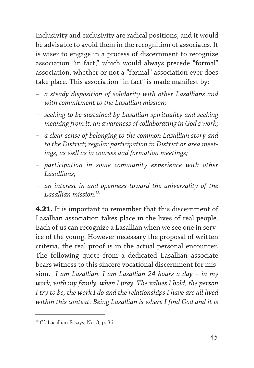Inclusivity and exclusivity are radical positions, and it would be advisable to avoid them in the recognition of associates. It is wiser to engage in a process of discernment to recognize association "in fact," which would always precede "formal" association, whether or not a "formal" association ever does take place. This association "in fact" is made manifest by:

- *a steady disposition of solidarity with other Lasallians and with commitment to the Lasallian mission;*
- *seeking to be sustained by Lasallian spirituality and seeking meaning from it; an awareness of collaborating in God's work;*
- *a clear sense of belonging to the common Lasallian story and to the District; regular participation in District or area meetings, as well as in courses and formation meetings;*
- *participation in some community experience with other Lasallians;*
- *an interest in and openness toward the universality of the Lasallian mission.*<sup>33</sup>

**4.21.** It is important to remember that this discernment of Lasallian association takes place in the lives of real people. Each of us can recognize a Lasallian when we see one in service of the young. However necessary the proposal of written criteria, the real proof is in the actual personal encounter. The following quote from a dedicated Lasallian associate bears witness to this sincere vocational discernment for mission. *"I am Lasallian. I am Lasallian 24 hours a day – in my work, with my family, when I pray. The values I hold, the person I try to be, the work I do and the relationships I have are all lived within this context. Being Lasallian is where I find God and it is*

<sup>&</sup>lt;sup>33</sup> Cf. Lasallian Essays, No. 3, p. 36.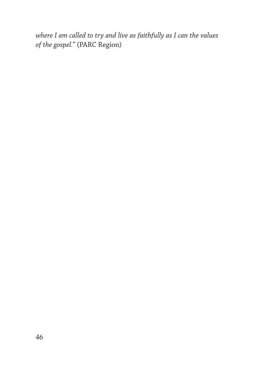*where I am called to try and live as faithfully as I can the values of the gospel."* (PARC Region)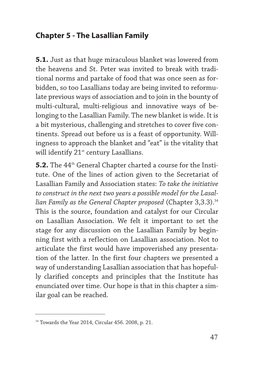## **Chapter 5 - The Lasallian Family**

**5.1.** Just as that huge miraculous blanket was lowered from the heavens and St. Peter was invited to break with traditional norms and partake of food that was once seen as forbidden, so too Lasallians today are being invited to reformulate previous ways of association and to join in the bounty of multi-cultural, multi-religious and innovative ways of belonging to the Lasallian Family. The new blanket is wide. It is a bit mysterious, challenging and stretches to cover five continents. Spread out before us is a feast of opportunity. Willingness to approach the blanket and "eat" is the vitality that will identify 21<sup>st</sup> century Lasallians.

**5.2.** The 44<sup>th</sup> General Chapter charted a course for the Institute. One of the lines of action given to the Secretariat of Lasallian Family and Association states: *To take the initiative to construct in the next two years a possible model for the Lasallian Family as the General Chapter proposed* (Chapter 3,3.3).<sup>34</sup> This is the source, foundation and catalyst for our Circular on Lasallian Association. We felt it important to set the stage for any discussion on the Lasallian Family by beginning first with a reflection on Lasallian association. Not to articulate the first would have impoverished any presentation of the latter. In the first four chapters we presented a way of understanding Lasallian association that has hopefully clarified concepts and principles that the Institute has enunciated over time. Our hope is that in this chapter a similar goal can be reached.

<sup>34</sup> Towards the Year 2014, Circular 456. 2008, p. 21.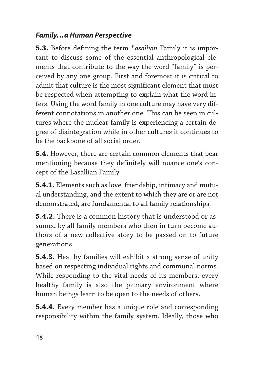## *Family…a Human Perspective*

**5.3.** Before defining the term *Lasallian* Family it is important to discuss some of the essential anthropological elements that contribute to the way the word "family" is perceived by any one group. First and foremost it is critical to admit that culture is the most significant element that must be respected when attempting to explain what the word infers. Using the word family in one culture may have very different connotations in another one. This can be seen in cultures where the nuclear family is experiencing a certain degree of disintegration while in other cultures it continues to be the backbone of all social order.

**5.4.** However, there are certain common elements that bear mentioning because they definitely will nuance one's concept of the Lasallian Family.

**5.4.1.** Elements such as love, friendship, intimacy and mutual understanding, and the extent to which they are or are not demonstrated, are fundamental to all family relationships.

**5.4.2.** There is a common history that is understood or assumed by all family members who then in turn become authors of a new collective story to be passed on to future generations.

**5.4.3.** Healthy families will exhibit a strong sense of unity based on respecting individual rights and communal norms. While responding to the vital needs of its members, every healthy family is also the primary environment where human beings learn to be open to the needs of others.

**5.4.4.** Every member has a unique role and corresponding responsibility within the family system. Ideally, those who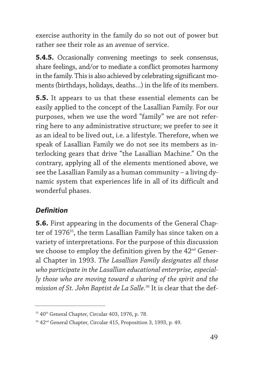exercise authority in the family do so not out of power but rather see their role as an avenue of service.

**5.4.5.** Occasionally convening meetings to seek consensus, share feelings, and/or to mediate a conflict promotes harmony in the family. This is also achieved by celebrating significant moments (birthdays, holidays, deaths…) in the life of its members.

**5.5.** It appears to us that these essential elements can be easily applied to the concept of the Lasallian Family. For our purposes, when we use the word "family" we are not referring here to any administrative structure; we prefer to see it as an ideal to be lived out, i.e. a lifestyle. Therefore, when we speak of Lasallian Family we do not see its members as interlocking gears that drive "the Lasallian Machine." On the contrary, applying all of the elements mentioned above, we see the Lasallian Family as a human community – a living dynamic system that experiences life in all of its difficult and wonderful phases.

#### *Definition*

**5.6.** First appearing in the documents of the General Chapter of 1976<sup>35</sup>, the term Lasallian Family has since taken on a variety of interpretations. For the purpose of this discussion we choose to employ the definition given by the 42<sup>nd</sup> General Chapter in 1993. *The Lasallian Family designates all those who participate in the Lasallian educational enterprise, especially those who are moving toward a sharing of the spirit and the mission of St. John Baptist de La Salle.*<sup>36</sup> It is clear that the def-

<sup>&</sup>lt;sup>35</sup> 40<sup>th</sup> General Chapter, Circular 403, 1976, p. 78.

<sup>36 42&</sup>lt;sup>nd</sup> General Chapter, Circular 415, Proposition 3, 1993, p. 49.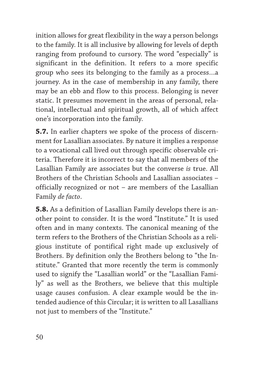inition allows for great flexibility in the way a person belongs to the family. It is all inclusive by allowing for levels of depth ranging from profound to cursory. The word "especially" is significant in the definition. It refers to a more specific group who sees its belonging to the family as a process…a journey. As in the case of membership in any family, there may be an ebb and flow to this process. Belonging is never static. It presumes movement in the areas of personal, relational, intellectual and spiritual growth, all of which affect one's incorporation into the family.

**5.7.** In earlier chapters we spoke of the process of discernment for Lasallian associates. By nature it implies a response to a vocational call lived out through specific observable criteria. Therefore it is incorrect to say that all members of the Lasallian Family are associates but the converse *is* true. All Brothers of the Christian Schools and Lasallian associates – officially recognized or not – are members of the Lasallian Family *de facto*.

**5.8.** As a definition of Lasallian Family develops there is another point to consider. It is the word "Institute." It is used often and in many contexts. The canonical meaning of the term refers to the Brothers of the Christian Schools as a religious institute of pontifical right made up exclusively of Brothers. By definition only the Brothers belong to "the Institute." Granted that more recently the term is commonly used to signify the "Lasallian world" or the "Lasallian Family" as well as the Brothers, we believe that this multiple usage causes confusion. A clear example would be the intended audience of this Circular; it is written to all Lasallians not just to members of the "Institute."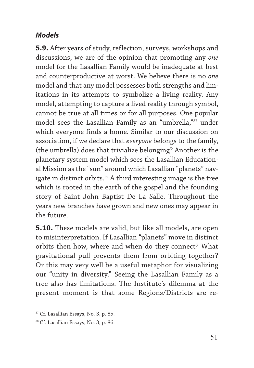#### *Models*

**5.9.** After years of study, reflection, surveys, workshops and discussions, we are of the opinion that promoting any *one* model for the Lasallian Family would be inadequate at best and counterproductive at worst. We believe there is no *one* model and that any model possesses both strengths and limitations in its attempts to symbolize a living reality. Any model, attempting to capture a lived reality through symbol, cannot be true at all times or for all purposes. One popular model sees the Lasallian Family as an "umbrella,"37 under which everyone finds a home. Similar to our discussion on association, if we declare that *everyone* belongs to the family, (the umbrella) does that trivialize belonging? Another is the planetary system model which sees the Lasallian Educational Mission as the "sun" around which Lasallian "planets" navigate in distinct orbits.<sup>38</sup> A third interesting image is the tree which is rooted in the earth of the gospel and the founding story of Saint John Baptist De La Salle. Throughout the years new branches have grown and new ones may appear in the future.

**5.10.** These models are valid, but like all models, are open to misinterpretation. If Lasallian "planets" move in distinct orbits then how, where and when do they connect? What gravitational pull prevents them from orbiting together? Or this may very well be a useful metaphor for visualizing our "unity in diversity." Seeing the Lasallian Family as a tree also has limitations. The Institute's dilemma at the present moment is that some Regions/Districts are re-

<sup>37</sup> Cf. Lasallian Essays, No. 3, p. 85.

<sup>&</sup>lt;sup>38</sup> Cf. Lasallian Essays, No. 3, p. 86.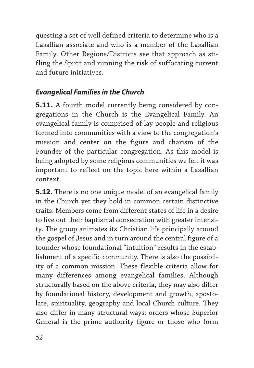questing a set of well defined criteria to determine who is a Lasallian associate and who is a member of the Lasallian Family. Other Regions/Districts see that approach as stifling the Spirit and running the risk of suffocating current and future initiatives.

## *Evangelical Families in the Church*

**5.11.** A fourth model currently being considered by congregations in the Church is the Evangelical Family. An evangelical family is comprised of lay people and religious formed into communities with a view to the congregation's mission and center on the figure and charism of the Founder of the particular congregation. As this model is being adopted by some religious communities we felt it was important to reflect on the topic here within a Lasallian context.

**5.12.** There is no one unique model of an evangelical family in the Church yet they hold in common certain distinctive traits. Members come from different states of life in a desire to live out their baptismal consecration with greater intensity. The group animates its Christian life principally around the gospel of Jesus and in turn around the central figure of a founder whose foundational "intuition" results in the establishment of a specific community. There is also the possibility of a common mission. These flexible criteria allow for many differences among evangelical families. Although structurally based on the above criteria, they may also differ by foundational history, development and growth, apostolate, spirituality, geography and local Church culture. They also differ in many structural ways: orders whose Superior General is the prime authority figure or those who form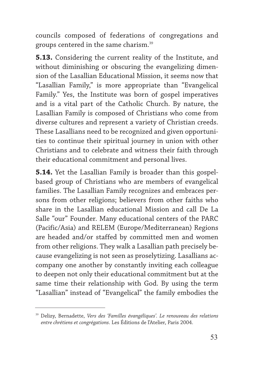councils composed of federations of congregations and groups centered in the same charism.39

**5.13.** Considering the current reality of the Institute, and without diminishing or obscuring the evangelizing dimension of the Lasallian Educational Mission, it seems now that "Lasallian Family," is more appropriate than "Evangelical Family." Yes, the Institute was born of gospel imperatives and is a vital part of the Catholic Church. By nature, the Lasallian Family is composed of Christians who come from diverse cultures and represent a variety of Christian creeds. These Lasallians need to be recognized and given opportunities to continue their spiritual journey in union with other Christians and to celebrate and witness their faith through their educational commitment and personal lives.

**5.14.** Yet the Lasallian Family is broader than this gospelbased group of Christians who are members of evangelical families. The Lasallian Family recognizes and embraces persons from other religions; believers from other faiths who share in the Lasallian educational Mission and call De La Salle "our" Founder. Many educational centers of the PARC (Pacific/Asia) and RELEM (Europe/Mediterranean) Regions are headed and/or staffed by committed men and women from other religions. They walk a Lasallian path precisely because evangelizing is not seen as proselytizing. Lasallians accompany one another by constantly inviting each colleague to deepen not only their educational commitment but at the same time their relationship with God. By using the term "Lasallian" instead of "Evangelical" the family embodies the

<sup>39</sup> Delizy, Bernadette, *Vers des 'Familles évangéliques'. Le renouveau des relations entre chrétiens et congrégations*. Les Éditions de l'Atelier, Paris 2004.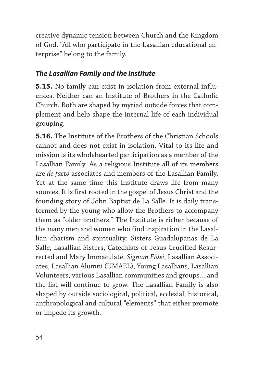creative dynamic tension between Church and the Kingdom of God. "All who participate in the Lasallian educational enterprise" belong to the family.

## *The Lasallian Family and the Institute*

**5.15.** No family can exist in isolation from external influences. Neither can an Institute of Brothers in the Catholic Church. Both are shaped by myriad outside forces that complement and help shape the internal life of each individual grouping.

**5.16.** The Institute of the Brothers of the Christian Schools cannot and does not exist in isolation. Vital to its life and mission is its wholehearted participation as a member of the Lasallian Family. As a religious Institute all of its members are *de facto* associates and members of the Lasallian Family. Yet at the same time this Institute draws life from many sources. It is first rooted in the gospel of Jesus Christ and the founding story of John Baptist de La Salle. It is daily transformed by the young who allow the Brothers to accompany them as "older brothers." The Institute is richer because of the many men and women who find inspiration in the Lasallian charism and spirituality: Sisters Guadalupanas de La Salle, Lasallian Sisters, Catechists of Jesus Crucified-Resurrected and Mary Immaculate, *Signum Fidei*, Lasallian Associates, Lasallian Alumni (UMAEL), Young Lasallians, Lasallian Volunteers, various Lasallian communities and groups… and the list will continue to grow. The Lasallian Family is also shaped by outside sociological, political, ecclesial, historical, anthropological and cultural "elements" that either promote or impede its growth.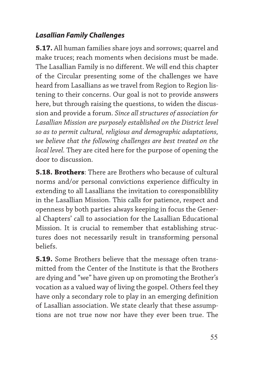## *Lasallian Family Challenges*

**5.17.** All human families share joys and sorrows; quarrel and make truces; reach moments when decisions must be made. The Lasallian Family is no different. We will end this chapter of the Circular presenting some of the challenges we have heard from Lasallians as we travel from Region to Region listening to their concerns. Our goal is not to provide answers here, but through raising the questions, to widen the discussion and provide a forum. *Since all structures of association for Lasallian Mission are purposely established on the District level so as to permit cultural, religious and demographic adaptations, we believe that the following challenges are best treated on the local level.* They are cited here for the purpose of opening the door to discussion.

**5.18. Brothers**: There are Brothers who because of cultural norms and/or personal convictions experience difficulty in extending to all Lasallians the invitation to coresponsiblility in the Lasallian Mission. This calls for patience, respect and openness by both parties always keeping in focus the General Chapters' call to association for the Lasallian Educational Mission. It is crucial to remember that establishing structures does not necessarily result in transforming personal beliefs.

**5.19.** Some Brothers believe that the message often transmitted from the Center of the Institute is that the Brothers are dying and "we" have given up on promoting the Brother's vocation as a valued way of living the gospel. Others feel they have only a secondary role to play in an emerging definition of Lasallian association. We state clearly that these assumptions are not true now nor have they ever been true. The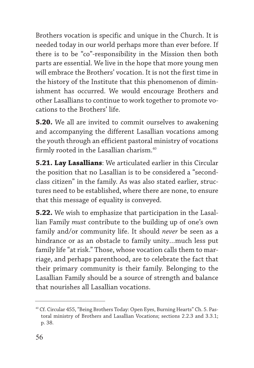Brothers vocation is specific and unique in the Church. It is needed today in our world perhaps more than ever before. If there is to be "co"-responsibility in the Mission then both parts are essential. We live in the hope that more young men will embrace the Brothers' vocation. It is not the first time in the history of the Institute that this phenomenon of diminishment has occurred. We would encourage Brothers and other Lasallians to continue to work together to promote vocations to the Brothers' life.

**5.20.** We all are invited to commit ourselves to awakening and accompanying the different Lasallian vocations among the youth through an efficient pastoral ministry of vocations firmly rooted in the Lasallian charism.<sup>40</sup>

**5.21. Lay Lasallians**: We articulated earlier in this Circular the position that no Lasallian is to be considered a "secondclass citizen" in the family. As was also stated earlier, structures need to be established, where there are none, to ensure that this message of equality is conveyed.

**5.22.** We wish to emphasize that participation in the Lasallian Family *must* contribute to the building up of one's own family and/or community life. It should *never* be seen as a hindrance or as an obstacle to family unity…much less put family life "at risk." Those, whose vocation calls them to marriage, and perhaps parenthood, are to celebrate the fact that their primary community is their family. Belonging to the Lasallian Family should be a source of strength and balance that nourishes all Lasallian vocations.

<sup>40</sup> Cf. Circular 455, "Being Brothers Today: Open Eyes, Burning Hearts" Ch. 5. Pastoral ministry of Brothers and Lasallian Vocations; sections 2.2.3 and 3.3.1; p. 38.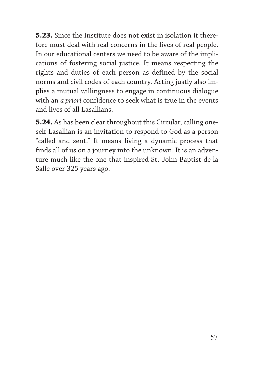**5.23.** Since the Institute does not exist in isolation it therefore must deal with real concerns in the lives of real people. In our educational centers we need to be aware of the implications of fostering social justice. It means respecting the rights and duties of each person as defined by the social norms and civil codes of each country. Acting justly also implies a mutual willingness to engage in continuous dialogue with an *a priori* confidence to seek what is true in the events and lives of all Lasallians.

**5.24.** As has been clear throughout this Circular, calling oneself Lasallian is an invitation to respond to God as a person "called and sent." It means living a dynamic process that finds all of us on a journey into the unknown. It is an adventure much like the one that inspired St. John Baptist de la Salle over 325 years ago.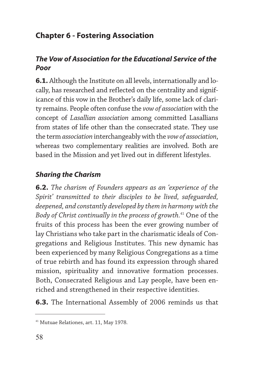# **Chapter 6 - Fostering Association**

## *The Vow of Association for the Educational Service of the Poor*

**6.1.** Although the Institute on all levels, internationally and locally, has researched and reflected on the centrality and significance of this vow in the Brother's daily life, some lack of clarity remains. People often confuse the *vow of association* with the concept of *Lasallian association* among committed Lasallians from states of life other than the consecrated state. They use the term *association* interchangeably with the *vow of association*, whereas two complementary realities are involved. Both are based in the Mission and yet lived out in different lifestyles.

## *Sharing the Charism*

**6.2.** *The charism of Founders appears as an 'experience of the Spirit' transmitted to their disciples to be lived, safeguarded, deepened, and constantly developed by them in harmony with the Body of Christ continually in the process of growth.*<sup>41</sup> One of the fruits of this process has been the ever growing number of lay Christians who take part in the charismatic ideals of Congregations and Religious Institutes. This new dynamic has been experienced by many Religious Congregations as a time of true rebirth and has found its expression through shared mission, spirituality and innovative formation processes. Both, Consecrated Religious and Lay people, have been enriched and strengthened in their respective identities.

**6.3.** The International Assembly of 2006 reminds us that

<sup>41</sup> Mutuae Relationes, art. 11, May 1978.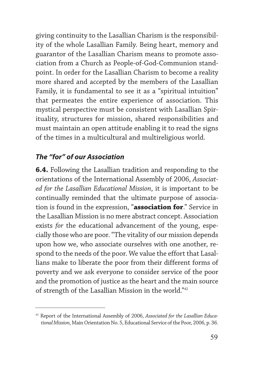giving continuity to the Lasallian Charism is the responsibility of the whole Lasallian Family. Being heart, memory and guarantor of the Lasallian Charism means to promote association from a Church as People-of-God-Communion standpoint. In order for the Lasallian Charism to become a reality more shared and accepted by the members of the Lasallian Family, it is fundamental to see it as a "spiritual intuition" that permeates the entire experience of association. This mystical perspective must be consistent with Lasallian Spirituality, structures for mission, shared responsibilities and must maintain an open attitude enabling it to read the signs of the times in a multicultural and multireligious world.

#### *The "for" of our Association*

**6.4.** Following the Lasallian tradition and responding to the orientations of the International Assembly of 2006, *Associated for the Lasallian Educational Mission*, it is important to be continually reminded that the ultimate purpose of association is found in the expression, "**association for**." Service in the Lasallian Mission is no mere abstract concept. Association exists *for* the educational advancement of the young, especially those who are poor. "The vitality of our mission depends upon how we, who associate ourselves with one another, respond to the needs of the poor. We value the effort that Lasallians make to liberate the poor from their different forms of poverty and we ask everyone to consider service of the poor and the promotion of justice as the heart and the main source of strength of the Lasallian Mission in the world."42

<sup>42</sup> Report of the International Assembly of 2006, *Associated for the Lasallian Educational Mission*, Main Orientation No. 5, Educational Service of the Poor, 2006, p. 36.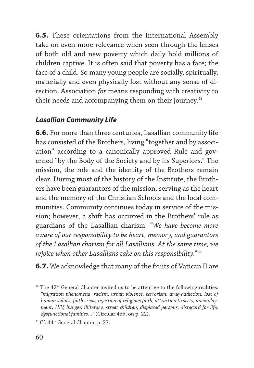**6.5.** These orientations from the International Assembly take on even more relevance when seen through the lenses of both old and new poverty which daily hold millions of children captive. It is often said that poverty has a face; the face of a child. So many young people are socially, spiritually, materially and even physically lost without any sense of direction. Association *for* means responding with creativity to their needs and accompanying them on their journey.<sup>43</sup>

## *Lasallian Community Life*

**6.6.** For more than three centuries, Lasallian community life has consisted of the Brothers, living "together and by association" according to a canonically approved Rule and governed "by the Body of the Society and by its Superiors." The mission, the role and the identity of the Brothers remain clear. During most of the history of the Institute, the Brothers have been guarantors of the mission, serving as the heart and the memory of the Christian Schools and the local communities. Community continues today in service of the mission; however, a shift has occurred in the Brothers' role as guardians of the Lasallian charism. *"We have become more aware of our responsibility to be heart, memory, and guarantors of the Lasallian charism for all Lasallians. At the same time, we rejoice when other Lasallians take on this responsibility."* <sup>44</sup>

**6.7.** We acknowledge that many of the fruits of Vatican II are

 $43$  The  $42<sup>nd</sup>$  General Chapter invited us to be attentive to the following realities: *"migration phenomena, racism, urban violence, terrorism, drug-addiction, lost of human values, faith crisis, rejection of religious faith, attraction to sects, unemployment, HIV, hunger, illiteracy, street children, displaced persons, disregard for life, dysfunctional families…"* (Circular 435, on p. 22).

<sup>&</sup>lt;sup>44</sup> Cf. 44<sup>th</sup> General Chapter, p. 27.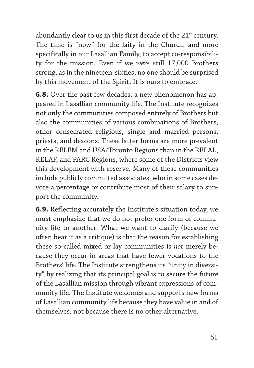abundantly clear to us in this first decade of the 21<sup>st</sup> century. The time is "now" for the laity in the Church, and more specifically in our Lasallian Family, to accept co-responsibility for the mission. Even if we *were* still 17,000 Brothers strong, as in the nineteen-sixties, no one should be surprised by this movement of the Spirit. It is ours to embrace.

**6.8.** Over the past few decades, a new phenomenon has appeared in Lasallian community life. The Institute recognizes not only the communities composed entirely of Brothers but also the communities of various combinations of Brothers, other consecrated religious, single and married persons, priests, and deacons. These latter forms are more prevalent in the RELEM and USA/Toronto Regions than in the RELAL, RELAF, and PARC Regions, where some of the Districts view this development with reserve. Many of these communities include publicly committed associates, who in some cases devote a percentage or contribute most of their salary to support the community.

**6.9.** Reflecting accurately the Institute's situation today, we must emphasize that we do not prefer one form of community life to another. What we want to clarify (because we often hear it as a critique) is that the reason for establishing these so-called mixed or lay communities is *not* merely because they occur in areas that have fewer vocations to the Brothers' life. The Institute strengthens its "unity in diversity" by realizing that its principal goal is to secure the future of the Lasallian mission through vibrant expressions of community life. The Institute welcomes and supports new forms of Lasallian community life because they have value in and of themselves, not because there is no other alternative.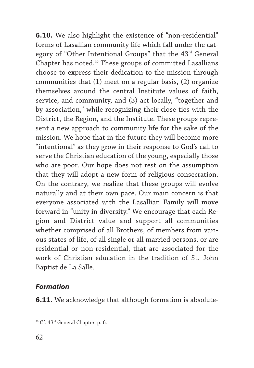**6.10.** We also highlight the existence of "non-residential" forms of Lasallian community life which fall under the category of "Other Intentional Groups" that the 43<sup>rd</sup> General Chapter has noted.45 These groups of committed Lasallians choose to express their dedication to the mission through communities that (1) meet on a regular basis, (2) organize themselves around the central Institute values of faith, service, and community, and (3) act locally, "together and by association," while recognizing their close ties with the District, the Region, and the Institute. These groups represent a new approach to community life for the sake of the mission. We hope that in the future they will become more "intentional" as they grow in their response to God's call to serve the Christian education of the young, especially those who are poor. Our hope does not rest on the assumption that they will adopt a new form of religious consecration. On the contrary, we realize that these groups will evolve naturally and at their own pace. Our main concern is that everyone associated with the Lasallian Family will move forward in "unity in diversity." We encourage that each Region and District value and support all communities whether comprised of all Brothers, of members from various states of life, of all single or all married persons, or are residential or non-residential, that are associated for the work of Christian education in the tradition of St. John Baptist de La Salle.

#### *Formation*

**6.11.** We acknowledge that although formation is absolute-

<sup>&</sup>lt;sup>45</sup> Cf. 43<sup>rd</sup> General Chapter, p. 6.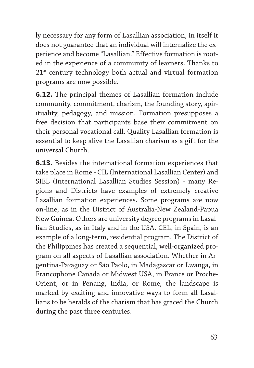ly necessary for any form of Lasallian association, in itself it does not guarantee that an individual will internalize the experience and become "Lasallian." Effective formation is rooted in the experience of a community of learners. Thanks to  $21<sup>st</sup>$  century technology both actual and virtual formation programs are now possible.

**6.12.** The principal themes of Lasallian formation include community, commitment, charism, the founding story, spirituality, pedagogy, and mission. Formation presupposes a free decision that participants base their commitment on their personal vocational call. Quality Lasallian formation is essential to keep alive the Lasallian charism as a gift for the universal Church.

**6.13.** Besides the international formation experiences that take place in Rome - CIL (International Lasallian Center) and SIEL (International Lasallian Studies Session) - many Regions and Districts have examples of extremely creative Lasallian formation experiences. Some programs are now on-line, as in the District of Australia-New Zealand-Papua New Guinea. Others are university degree programs in Lasallian Studies, as in Italy and in the USA. CEL, in Spain, is an example of a long-term, residential program. The District of the Philippines has created a sequential, well-organized program on all aspects of Lasallian association. Whether in Argentina-Paraguay or São Paolo, in Madagascar or Lwanga, in Francophone Canada or Midwest USA, in France or Proche-Orient, or in Penang, India, or Rome, the landscape is marked by exciting and innovative ways to form all Lasallians to be heralds of the charism that has graced the Church during the past three centuries.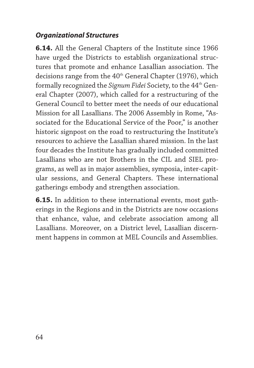#### *Organizational Structures*

**6.14.** All the General Chapters of the Institute since 1966 have urged the Districts to establish organizational structures that promote and enhance Lasallian association. The decisions range from the  $40<sup>th</sup>$  General Chapter (1976), which formally recognized the *Signum Fidei* Society, to the 44th General Chapter (2007), which called for a restructuring of the General Council to better meet the needs of our educational Mission for all Lasallians. The 2006 Assembly in Rome, "Associated for the Educational Service of the Poor," is another historic signpost on the road to restructuring the Institute's resources to achieve the Lasallian shared mission. In the last four decades the Institute has gradually included committed Lasallians who are not Brothers in the CIL and SIEL programs, as well as in major assemblies, symposia, inter-capitular sessions, and General Chapters. These international gatherings embody and strengthen association.

**6.15.** In addition to these international events, most gatherings in the Regions and in the Districts are now occasions that enhance, value, and celebrate association among all Lasallians. Moreover, on a District level, Lasallian discernment happens in common at MEL Councils and Assemblies.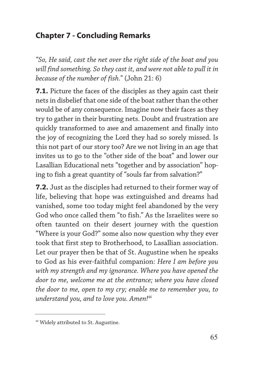## **Chapter 7 - Concluding Remarks**

*"So, He said, cast the net over the right side of the boat and you will find something. So they cast it, and were not able to pull it in because of the number of fish."* (John 21: 6)

**7.1.** Picture the faces of the disciples as they again cast their nets in disbelief that one side of the boat rather than the other would be of any consequence. Imagine now their faces as they try to gather in their bursting nets. Doubt and frustration are quickly transformed to awe and amazement and finally into the joy of recognizing the Lord they had so sorely missed. Is this not part of our story too? Are we not living in an age that invites us to go to the "other side of the boat" and lower our Lasallian Educational nets "together and by association" hoping to fish a great quantity of "souls far from salvation?"

**7.2.** Just as the disciples had returned to their former way of life, believing that hope was extinguished and dreams had vanished, some too today might feel abandoned by the very God who once called them "to fish." As the Israelites were so often taunted on their desert journey with the question "Where is your God?" some also now question why they ever took that first step to Brotherhood, to Lasallian association. Let our prayer then be that of St. Augustine when he speaks to God as his ever-faithful companion: *Here I am before you with my strength and my ignorance. Where you have opened the door to me, welcome me at the entrance; where you have closed the door to me, open to my cry; enable me to remember you, to understand you, and to love you. Amen!*<sup>46</sup>

<sup>46</sup> Widely attributed to St. Augustine.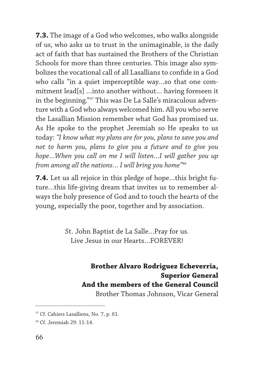**7.3.** The image of a God who welcomes, who walks alongside of us, who asks us to trust in the unimaginable, is the daily act of faith that has sustained the Brothers of the Christian Schools for more than three centuries. This image also symbolizes the vocational call of all Lasallians to confide in a God who calls "in a quiet imperceptible way…so that one commitment lead[s] …into another without… having foreseen it in the beginning."47 This was De La Salle's miraculous adventure with a God who always welcomed him. All you who serve the Lasallian Mission remember what God has promised us. As He spoke to the prophet Jeremiah so He speaks to us today: *"I know what my plans are for you, plans to save you and not to harm you, plans to give you a future and to give you hope…When you call on me I will listen…I will gather you up from among all the nations… I will bring you home"*<sup>48</sup>

**7.4.** Let us all rejoice in this pledge of hope…this bright future…this life-giving dream that invites us to remember always the holy presence of God and to touch the hearts of the young, especially the poor, together and by association.

> St. John Baptist de La Salle…Pray for us. Live Jesus in our Hearts…FOREVER!

> > **Brother Alvaro Rodriguez Echeverria, Superior General And the members of the General Council** Brother Thomas Johnson, Vicar General

<sup>&</sup>lt;sup>47</sup> Cf. Cahiers Lasalliens, No. 7, p. 61.

<sup>48</sup> Cf. Jeremiah 29: 11-14.